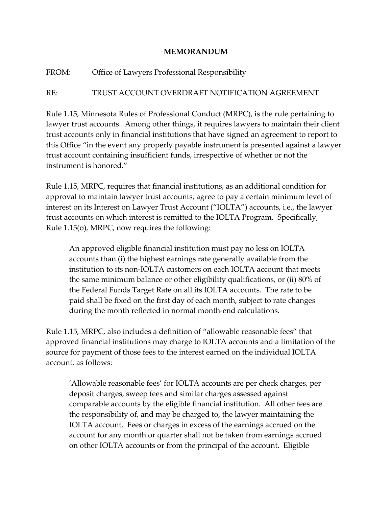## **MEMORANDUM**

## FROM: Office of Lawyers Professional Responsibility

## RE: TRUST ACCOUNT OVERDRAFT NOTIFICATION AGREEMENT

Rule 1.15, Minnesota Rules of Professional Conduct (MRPC), is the rule pertaining to lawyer trust accounts. Among other things, it requires lawyers to maintain their client trust accounts only in financial institutions that have signed an agreement to report to this Office "in the event any properly payable instrument is presented against a lawyer trust account containing insufficient funds, irrespective of whether or not the instrument is honored."

Rule 1.15, MRPC, requires that financial institutions, as an additional condition for approval to maintain lawyer trust accounts, agree to pay a certain minimum level of interest on its Interest on Lawyer Trust Account ("IOLTA") accounts, i.e., the lawyer trust accounts on which interest is remitted to the IOLTA Program. Specifically, Rule 1.15(o), MRPC, now requires the following:

An approved eligible financial institution must pay no less on IOLTA accounts than (i) the highest earnings rate generally available from the institution to its non-IOLTA customers on each IOLTA account that meets the same minimum balance or other eligibility qualifications, or (ii) 80% of the Federal Funds Target Rate on all its IOLTA accounts. The rate to be paid shall be fixed on the first day of each month, subject to rate changes during the month reflected in normal month-end calculations.

Rule 1.15, MRPC, also includes a definition of "allowable reasonable fees" that approved financial institutions may charge to IOLTA accounts and a limitation of the source for payment of those fees to the interest earned on the individual IOLTA account, as follows:

'Allowable reasonable fees' for IOLTA accounts are per check charges, per deposit charges, sweep fees and similar charges assessed against comparable accounts by the eligible financial institution. All other fees are the responsibility of, and may be charged to, the lawyer maintaining the IOLTA account. Fees or charges in excess of the earnings accrued on the account for any month or quarter shall not be taken from earnings accrued on other IOLTA accounts or from the principal of the account. Eligible